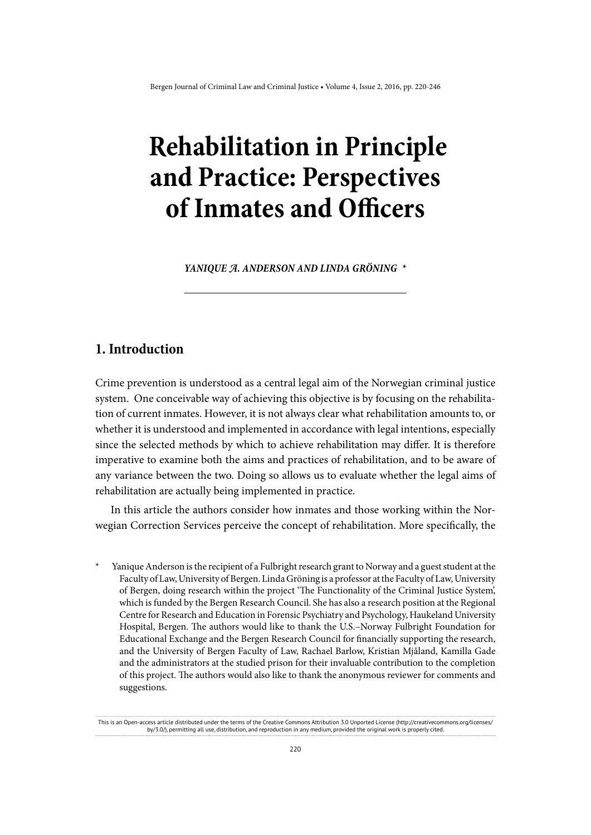# **Rehabilitation in Principle and Practice: Perspectives of Inmates and Officers**

YANIQUE A. ANDERSON AND LINDA GRÖNING \*

# **1. Introduction**

Crime prevention is understood as a central legal aim of the Norwegian criminal justice system. One conceivable way of achieving this objective is by focusing on the rehabilitation of current inmates. However, it is not always clear what rehabilitation amounts to, or whether it is understood and implemented in accordance with legal intentions, especially since the selected methods by which to achieve rehabilitation may differ. It is therefore imperative to examine both the aims and practices of rehabilitation, and to be aware of any variance between the two. Doing so allows us to evaluate whether the legal aims of rehabilitation are actually being implemented in practice.

In this article the authors consider how inmates and those working within the Norwegian Correction Services perceive the concept of rehabilitation. More specifically, the

Yanique Anderson is the recipient of a Fulbright research grant to Norway and a guest student at the Faculty of Law, University of Bergen. Linda Gröning is a professor at the Faculty of Law, University of Bergen, doing research within the project 'The Functionality of the Criminal Justice System', which is funded by the Bergen Research Council. She has also a research position at the Regional Centre for Research and Education in Forensic Psychiatry and Psychology, Haukeland University Hospital, Bergen. The authors would like to thank the U.S.–Norway Fulbright Foundation for Educational Exchange and the Bergen Research Council for financially supporting the research, and the University of Bergen Faculty of Law, Rachael Barlow, Kristian Mjåland, Kamilla Gade and the administrators at the studied prison for their invaluable contribution to the completion of this project. The authors would also like to thank the anonymous reviewer for comments and suggestions.

This is an Open-access article distributed under the terms of the Creative Commons Attribution 3.0 Unported License (http://creativecommons.org/licenses/ by/3.0/), permitting all use, distribution, and reproduction in any medium, provided the original work is properly cited.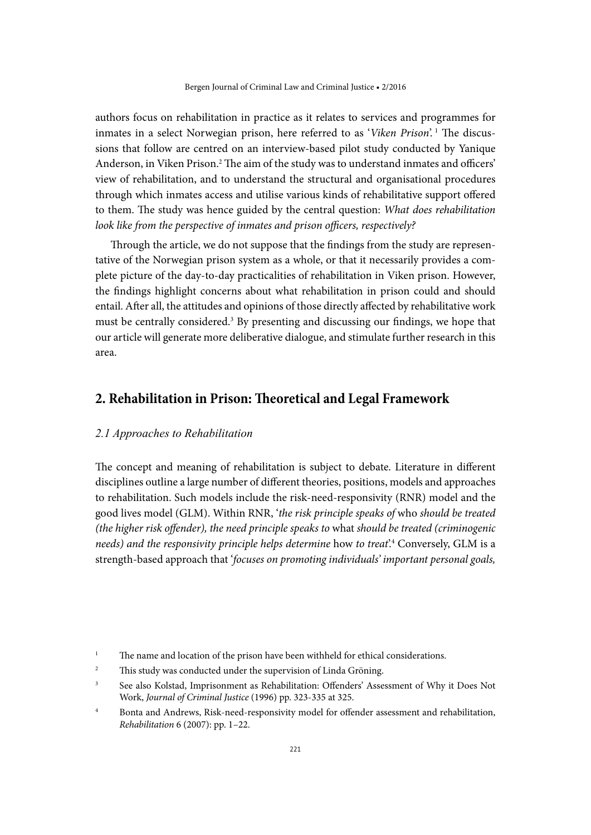authors focus on rehabilitation in practice as it relates to services and programmes for inmates in a select Norwegian prison, here referred to as '*Viken Prison*'. 1 The discussions that follow are centred on an interview-based pilot study conducted by Yanique Anderson, in Viken Prison.<sup>2</sup> The aim of the study was to understand inmates and officers' view of rehabilitation, and to understand the structural and organisational procedures through which inmates access and utilise various kinds of rehabilitative support offered to them. The study was hence guided by the central question: *What does rehabilitation look like from the perspective of inmates and prison officers, respectively?* 

Through the article, we do not suppose that the findings from the study are representative of the Norwegian prison system as a whole, or that it necessarily provides a complete picture of the day-to-day practicalities of rehabilitation in Viken prison. However, the findings highlight concerns about what rehabilitation in prison could and should entail. After all, the attitudes and opinions of those directly affected by rehabilitative work must be centrally considered.<sup>3</sup> By presenting and discussing our findings, we hope that our article will generate more deliberative dialogue, and stimulate further research in this area.

# **2. Rehabilitation in Prison: Theoretical and Legal Framework**

#### *2.1 Approaches to Rehabilitation*

The concept and meaning of rehabilitation is subject to debate. Literature in different disciplines outline a large number of different theories, positions, models and approaches to rehabilitation. Such models include the risk-need-responsivity (RNR) model and the good lives model (GLM). Within RNR, '*the risk principle speaks of* who *should be treated (the higher risk offender), the need principle speaks to* what *should be treated (criminogenic needs) and the responsivity principle helps determine* how *to treat*'.4 Conversely, GLM is a strength-based approach that '*focuses on promoting individuals' important personal goals,* 

- <sup>2</sup> This study was conducted under the supervision of Linda Gröning.
- <sup>3</sup> See also Kolstad, Imprisonment as Rehabilitation: Offenders' Assessment of Why it Does Not Work, *Journal of Criminal Justice* (1996) pp. 323-335 at 325.
- <sup>4</sup> Bonta and Andrews, Risk-need-responsivity model for offender assessment and rehabilitation, *Rehabilitation* 6 (2007): pp. 1–22.

<sup>&</sup>lt;sup>1</sup> The name and location of the prison have been withheld for ethical considerations.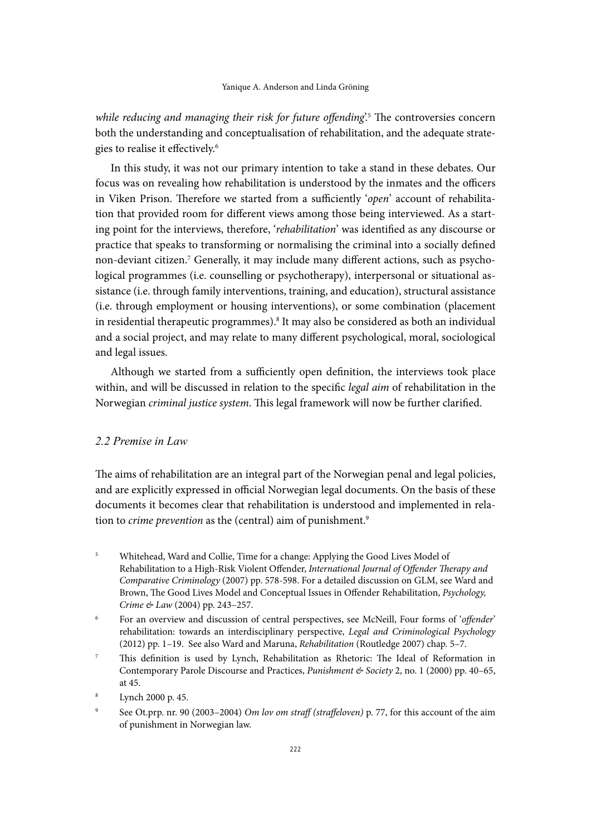while reducing and managing their risk for future offending<sup>'</sup>.<sup>5</sup> The controversies concern both the understanding and conceptualisation of rehabilitation, and the adequate strategies to realise it effectively.6

In this study, it was not our primary intention to take a stand in these debates. Our focus was on revealing how rehabilitation is understood by the inmates and the officers in Viken Prison. Therefore we started from a sufficiently '*open*' account of rehabilitation that provided room for different views among those being interviewed. As a starting point for the interviews, therefore, '*rehabilitation*' was identified as any discourse or practice that speaks to transforming or normalising the criminal into a socially defined non-deviant citizen.<sup>7</sup> Generally, it may include many different actions, such as psychological programmes (i.e. counselling or psychotherapy), interpersonal or situational assistance (i.e. through family interventions, training, and education), structural assistance (i.e. through employment or housing interventions), or some combination (placement in residential therapeutic programmes).8 It may also be considered as both an individual and a social project, and may relate to many different psychological, moral, sociological and legal issues.

Although we started from a sufficiently open definition, the interviews took place within, and will be discussed in relation to the specific *legal aim* of rehabilitation in the Norwegian *criminal justice system*. This legal framework will now be further clarified.

## *2.2 Premise in Law*

The aims of rehabilitation are an integral part of the Norwegian penal and legal policies, and are explicitly expressed in official Norwegian legal documents. On the basis of these documents it becomes clear that rehabilitation is understood and implemented in relation to *crime prevention* as the (central) aim of punishment.9

<sup>5</sup> Whitehead, Ward and Collie, Time for a change: Applying the Good Lives Model of Rehabilitation to a High-Risk Violent Offender, *International Journal of Offender Therapy and Comparative Criminology* (2007) pp. 578-598. For a detailed discussion on GLM, see Ward and Brown, The Good Lives Model and Conceptual Issues in Offender Rehabilitation, *Psychology, Crime & Law* (2004) pp. 243–257.

<sup>6</sup> For an overview and discussion of central perspectives, see McNeill, Four forms of '*offender*' rehabilitation: towards an interdisciplinary perspective, *Legal and Criminological Psychology* (2012) pp. 1–19. See also Ward and Maruna, *Rehabilitation* (Routledge 2007) chap. 5–7.

- <sup>7</sup> This definition is used by Lynch, Rehabilitation as Rhetoric: The Ideal of Reformation in Contemporary Parole Discourse and Practices, *Punishment & Society* 2, no. 1 (2000) pp. 40–65, at 45.
- Lynch 2000 p. 45.
- <sup>9</sup> See Ot.prp. nr. 90 (2003–2004) *Om lov om straff (straffeloven)* p. 77, for this account of the aim of punishment in Norwegian law.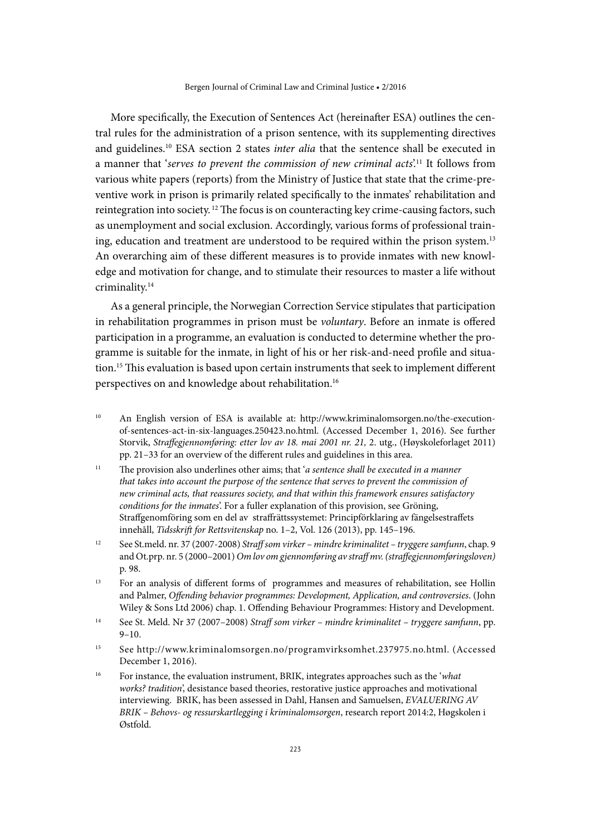More specifically, the Execution of Sentences Act (hereinafter ESA) outlines the central rules for the administration of a prison sentence, with its supplementing directives and guidelines.10 ESA section 2 states *inter alia* that the sentence shall be executed in a manner that '*serves to prevent the commission of new criminal acts*'.11 It follows from various white papers (reports) from the Ministry of Justice that state that the crime-preventive work in prison is primarily related specifically to the inmates' rehabilitation and reintegration into society. 12 The focus is on counteracting key crime-causing factors, such as unemployment and social exclusion. Accordingly, various forms of professional training, education and treatment are understood to be required within the prison system.13 An overarching aim of these different measures is to provide inmates with new knowledge and motivation for change, and to stimulate their resources to master a life without criminality.14

As a general principle, the Norwegian Correction Service stipulates that participation in rehabilitation programmes in prison must be *voluntary*. Before an inmate is offered participation in a programme, an evaluation is conducted to determine whether the programme is suitable for the inmate, in light of his or her risk-and-need profile and situation.15 This evaluation is based upon certain instruments that seek to implement different perspectives on and knowledge about rehabilitation.16

- <sup>10</sup> An English version of ESA is available at: [http://www.kriminalomsorgen.no/the-execution](http://www.kriminalomsorgen.no/the-execution-of-sentences-act-in-six-languages.250423.no.html)[of-sentences-act-in-six-languages.250423.no.html](http://www.kriminalomsorgen.no/the-execution-of-sentences-act-in-six-languages.250423.no.html). (Accessed December 1, 2016). See further Storvik, *Straffegjennomføring: etter lov av 18. mai 2001 nr. 21,* 2. utg., (Høyskoleforlaget 2011) pp. 21–33 for an overview of the different rules and guidelines in this area.
- <sup>11</sup> The provision also underlines other aims; that '*a sentence shall be executed in a manner that takes into account the purpose of the sentence that serves to prevent the commission of new criminal acts, that reassures society, and that within this framework ensures satisfactory conditions for the inmates*'. For a fuller explanation of this provision, see Gröning, Straffgenomföring som en del av straffrättssystemet: Principförklaring av fängelsestraffets innehåll, *Tidsskrift for Rettsvitenskap* no. 1–2, Vol. 126 (2013), pp. 145–196.
- <sup>12</sup> See St.meld. nr. 37 (2007-2008) *Straff som virker mindre kriminalitet tryggere samfunn*, chap. 9 and Ot.prp. nr. 5 (2000–2001) *Om lov om gjennomføring av straff mv. (straffegjennomføringsloven)* p. 98.
- <sup>13</sup> For an analysis of different forms of programmes and measures of rehabilitation, see Hollin and Palmer, *Offending behavior programmes: Development, Application, and controversies*. (John Wiley & Sons Ltd 2006) chap. 1. Offending Behaviour Programmes: History and Development.
- <sup>14</sup> See St. Meld. Nr 37 (2007–2008) *Straff som virker mindre kriminalitet tryggere samfunn*, pp. 9–10.
- <sup>15</sup> See <http://www.kriminalomsorgen.no/programvirksomhet.237975.no.html>. (Accessed December 1, 2016).
- <sup>16</sup> For instance, the evaluation instrument, BRIK, integrates approaches such as the '*what works? tradition*', desistance based theories, restorative justice approaches and motivational interviewing. BRIK, has been assessed in Dahl, Hansen and Samuelsen, *EVALUERING AV BRIK – Behovs- og ressurskartlegging i kriminalomsorgen*, research report 2014:2, Høgskolen i Østfold.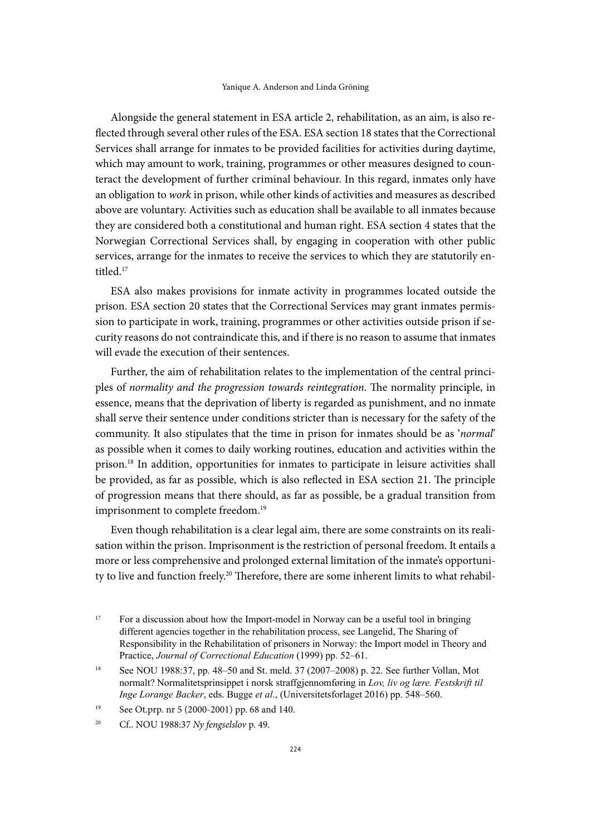Alongside the general statement in ESA article 2, rehabilitation, as an aim, is also reflected through several other rules of the ESA. ESA section 18 states that the Correctional Services shall arrange for inmates to be provided facilities for activities during daytime, which may amount to work, training, programmes or other measures designed to counteract the development of further criminal behaviour. In this regard, inmates only have an obligation to *work* in prison, while other kinds of activities and measures as described above are voluntary. Activities such as education shall be available to all inmates because they are considered both a constitutional and human right. ESA section 4 states that the Norwegian Correctional Services shall, by engaging in cooperation with other public services, arrange for the inmates to receive the services to which they are statutorily entitled.17

ESA also makes provisions for inmate activity in programmes located outside the prison. ESA section 20 states that the Correctional Services may grant inmates permission to participate in work, training, programmes or other activities outside prison if security reasons do not contraindicate this, and if there is no reason to assume that inmates will evade the execution of their sentences.

Further, the aim of rehabilitation relates to the implementation of the central principles of *normality and the progression towards reintegration*. The normality principle, in essence, means that the deprivation of liberty is regarded as punishment, and no inmate shall serve their sentence under conditions stricter than is necessary for the safety of the community. It also stipulates that the time in prison for inmates should be as '*normal*' as possible when it comes to daily working routines, education and activities within the prison.18 In addition, opportunities for inmates to participate in leisure activities shall be provided, as far as possible, which is also reflected in ESA section 21. The principle of progression means that there should, as far as possible, be a gradual transition from imprisonment to complete freedom.<sup>19</sup>

Even though rehabilitation is a clear legal aim, there are some constraints on its realisation within the prison. Imprisonment is the restriction of personal freedom. It entails a more or less comprehensive and prolonged external limitation of the inmate's opportunity to live and function freely.20 Therefore, there are some inherent limits to what rehabil-

<sup>&</sup>lt;sup>17</sup> For a discussion about how the Import-model in Norway can be a useful tool in bringing different agencies together in the rehabilitation process, see Langelid, The Sharing of Responsibility in the Rehabilitation of prisoners in Norway: the Import model in Theory and Practice, *Journal of Correctional Education* (1999) pp. 52–61.

<sup>18</sup> See NOU 1988:37, pp. 48–50 and St. meld. 37 (2007–2008) p. 22. See further Vollan, Mot normalt? Normalitetsprinsippet i norsk straffgjennomføring in *Lov, liv og lære. Festskrift til Inge Lorange Backer*, eds. Bugge *et al*., (Universitetsforlaget 2016) pp. 548–560.

<sup>19</sup> See Ot.prp. nr 5 (2000-2001) pp. 68 and 140.

<sup>20</sup> Cf.. NOU 1988:37 *Ny fengselslov* p. 49.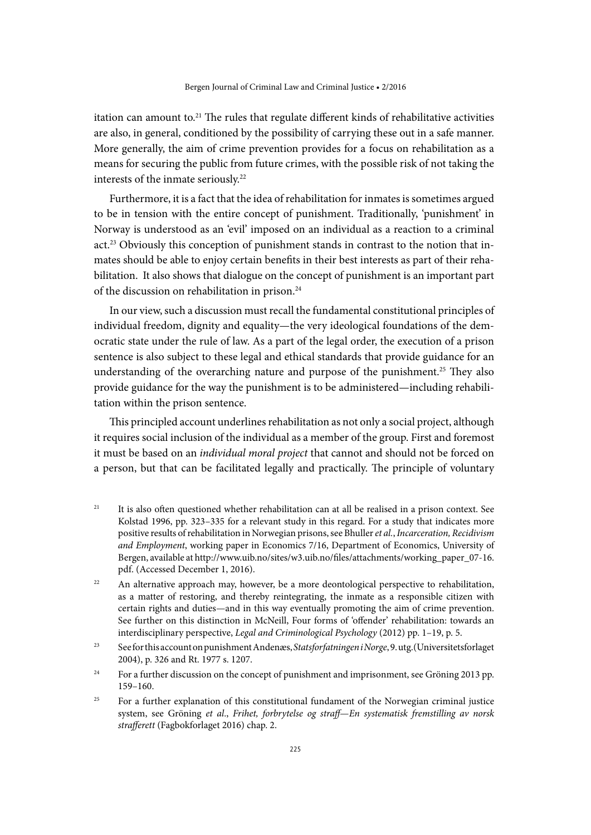itation can amount to.<sup>21</sup> The rules that regulate different kinds of rehabilitative activities are also, in general, conditioned by the possibility of carrying these out in a safe manner. More generally, the aim of crime prevention provides for a focus on rehabilitation as a means for securing the public from future crimes, with the possible risk of not taking the interests of the inmate seriously.<sup>22</sup>

Furthermore, it is a fact that the idea of rehabilitation for inmates is sometimes argued to be in tension with the entire concept of punishment. Traditionally, 'punishment' in Norway is understood as an 'evil' imposed on an individual as a reaction to a criminal act.<sup>23</sup> Obviously this conception of punishment stands in contrast to the notion that inmates should be able to enjoy certain benefits in their best interests as part of their rehabilitation. It also shows that dialogue on the concept of punishment is an important part of the discussion on rehabilitation in prison.<sup>24</sup>

In our view, such a discussion must recall the fundamental constitutional principles of individual freedom, dignity and equality—the very ideological foundations of the democratic state under the rule of law. As a part of the legal order, the execution of a prison sentence is also subject to these legal and ethical standards that provide guidance for an understanding of the overarching nature and purpose of the punishment.<sup>25</sup> They also provide guidance for the way the punishment is to be administered—including rehabilitation within the prison sentence.

This principled account underlines rehabilitation as not only a social project, although it requires social inclusion of the individual as a member of the group. First and foremost it must be based on an *individual moral project* that cannot and should not be forced on a person, but that can be facilitated legally and practically. The principle of voluntary

- <sup>21</sup> It is also often questioned whether rehabilitation can at all be realised in a prison context. See Kolstad 1996, pp. 323–335 for a relevant study in this regard. For a study that indicates more positive results of rehabilitation in Norwegian prisons, see Bhuller *et al.*, *Incarceration, Recidivism and Employment*, working paper in Economics 7/16, Department of Economics, University of Bergen, available at [http://www.uib.no/sites/w3.uib.no/files/attachments/working\\_paper\\_07-16.](http://www.uib.no/sites/w3.uib.no/files/attachments/working_paper_07-16.pdf) [pdf](http://www.uib.no/sites/w3.uib.no/files/attachments/working_paper_07-16.pdf). (Accessed December 1, 2016).
- $22$  An alternative approach may, however, be a more deontological perspective to rehabilitation, as a matter of restoring, and thereby reintegrating, the inmate as a responsible citizen with certain rights and duties—and in this way eventually promoting the aim of crime prevention. See further on this distinction in McNeill, Four forms of 'offender' rehabilitation: towards an interdisciplinary perspective, *Legal and Criminological Psychology* (2012) pp. 1–19, p. 5.
- <sup>23</sup> See for this account on punishment Andenæs, *Statsforfatningen i Norge*, 9. utg.(Universitetsforlaget 2004), p. 326 and Rt. 1977 s. 1207.
- <sup>24</sup> For a further discussion on the concept of punishment and imprisonment, see Gröning 2013 pp. 159–160.
- <sup>25</sup> For a further explanation of this constitutional fundament of the Norwegian criminal justice system, see Gröning *et al*., *Frihet, forbrytelse og straff*—*En systematisk fremstilling av norsk strafferett* (Fagbokforlaget 2016) chap. 2.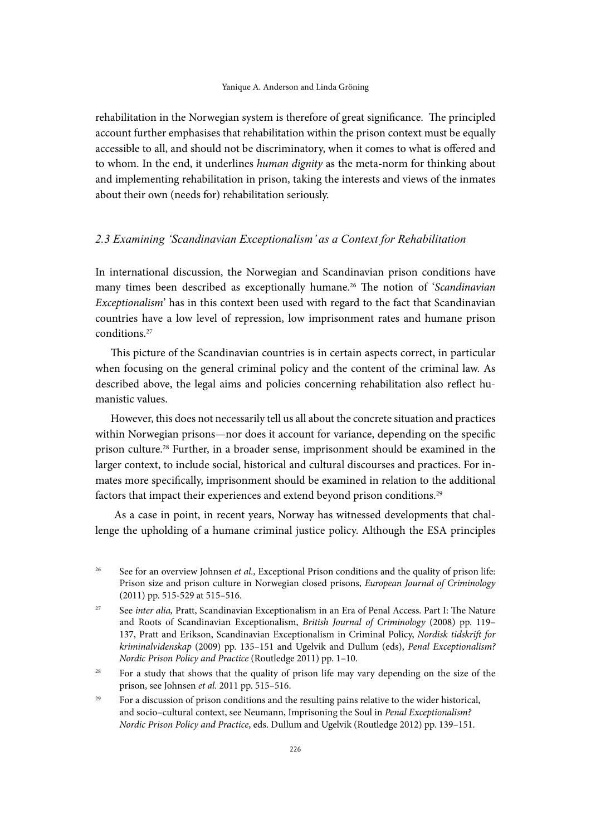rehabilitation in the Norwegian system is therefore of great significance. The principled account further emphasises that rehabilitation within the prison context must be equally accessible to all, and should not be discriminatory, when it comes to what is offered and to whom. In the end, it underlines *human dignity* as the meta-norm for thinking about and implementing rehabilitation in prison, taking the interests and views of the inmates about their own (needs for) rehabilitation seriously.

# *2.3 Examining 'Scandinavian Exceptionalism' as a Context for Rehabilitation*

In international discussion, the Norwegian and Scandinavian prison conditions have many times been described as exceptionally humane.26 The notion of '*Scandinavian Exceptionalism*' has in this context been used with regard to the fact that Scandinavian countries have a low level of repression, low imprisonment rates and humane prison conditions.27

This picture of the Scandinavian countries is in certain aspects correct, in particular when focusing on the general criminal policy and the content of the criminal law. As described above, the legal aims and policies concerning rehabilitation also reflect humanistic values.

However, this does not necessarily tell us all about the concrete situation and practices within Norwegian prisons—nor does it account for variance, depending on the specific prison culture.28 Further, in a broader sense, imprisonment should be examined in the larger context, to include social, historical and cultural discourses and practices. For inmates more specifically, imprisonment should be examined in relation to the additional factors that impact their experiences and extend beyond prison conditions.<sup>29</sup>

 As a case in point, in recent years, Norway has witnessed developments that challenge the upholding of a humane criminal justice policy. Although the ESA principles

<sup>&</sup>lt;sup>26</sup> See for an overview Johnsen *et al.*, Exceptional Prison conditions and the quality of prison life: Prison size and prison culture in Norwegian closed prisons, *European Journal of Criminology*  (2011) pp. 515-529 at 515–516.

<sup>&</sup>lt;sup>27</sup> See *inter alia*, Pratt, Scandinavian Exceptionalism in an Era of Penal Access. Part I: The Nature and Roots of Scandinavian Exceptionalism, *British Journal of Criminology* (2008) pp. 119– 137, Pratt and Erikson, Scandinavian Exceptionalism in Criminal Policy, *Nordisk tidskrift for kriminalvidenskap* (2009) pp. 135–151 and Ugelvik and Dullum (eds), *Penal Exceptionalism? Nordic Prison Policy and Practice* (Routledge 2011) pp. 1–10.

<sup>&</sup>lt;sup>28</sup> For a study that shows that the quality of prison life may vary depending on the size of the prison, see Johnsen *et al.* 2011 pp. 515–516.

<sup>&</sup>lt;sup>29</sup> For a discussion of prison conditions and the resulting pains relative to the wider historical, and socio–cultural context, see Neumann, Imprisoning the Soul in *Penal Exceptionalism? Nordic Prison Policy and Practice*, eds. Dullum and Ugelvik (Routledge 2012) pp. 139–151.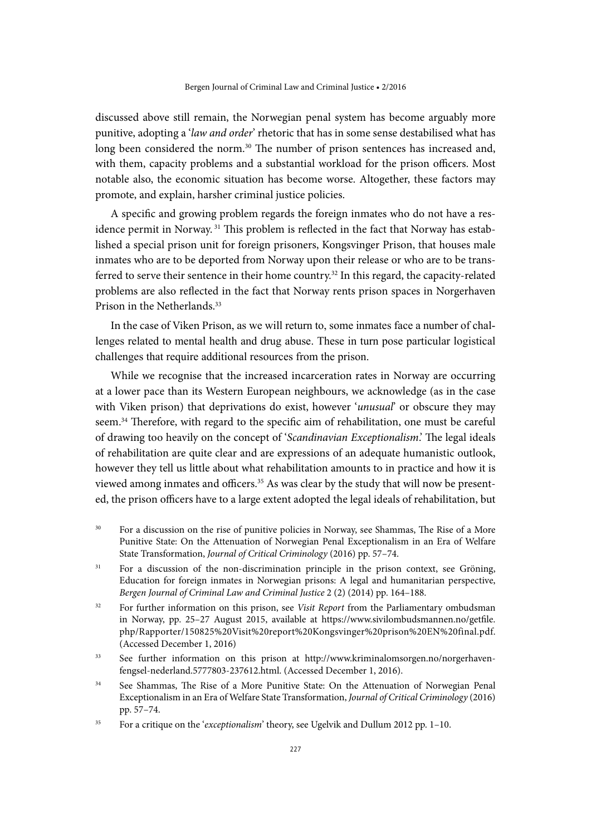discussed above still remain, the Norwegian penal system has become arguably more punitive, adopting a '*law and order*' rhetoric that has in some sense destabilised what has long been considered the norm.<sup>30</sup> The number of prison sentences has increased and, with them, capacity problems and a substantial workload for the prison officers. Most notable also, the economic situation has become worse. Altogether, these factors may promote, and explain, harsher criminal justice policies.

A specific and growing problem regards the foreign inmates who do not have a residence permit in Norway. 31 This problem is reflected in the fact that Norway has established a special prison unit for foreign prisoners, Kongsvinger Prison, that houses male inmates who are to be deported from Norway upon their release or who are to be transferred to serve their sentence in their home country.<sup>32</sup> In this regard, the capacity-related problems are also reflected in the fact that Norway rents prison spaces in Norgerhaven Prison in the Netherlands.<sup>33</sup>

In the case of Viken Prison, as we will return to, some inmates face a number of challenges related to mental health and drug abuse. These in turn pose particular logistical challenges that require additional resources from the prison.

While we recognise that the increased incarceration rates in Norway are occurring at a lower pace than its Western European neighbours, we acknowledge (as in the case with Viken prison) that deprivations do exist, however '*unusual*' or obscure they may seem.34 Therefore, with regard to the specific aim of rehabilitation, one must be careful of drawing too heavily on the concept of '*Scandinavian Exceptionalism*.' The legal ideals of rehabilitation are quite clear and are expressions of an adequate humanistic outlook, however they tell us little about what rehabilitation amounts to in practice and how it is viewed among inmates and officers.<sup>35</sup> As was clear by the study that will now be presented, the prison officers have to a large extent adopted the legal ideals of rehabilitation, but

- <sup>30</sup> For a discussion on the rise of punitive policies in Norway, see Shammas, The Rise of a More Punitive State: On the Attenuation of Norwegian Penal Exceptionalism in an Era of Welfare State Transformation, *Journal of Critical Criminology* (2016) pp. 57–74.
- <sup>31</sup> For a discussion of the non-discrimination principle in the prison context, see Gröning, Education for foreign inmates in Norwegian prisons: A legal and humanitarian perspective, *Bergen Journal of Criminal Law and Criminal Justice* 2 (2) (2014) pp. 164–188.
- <sup>32</sup> For further information on this prison, see *Visit Report* from the Parliamentary ombudsman in Norway, pp. 25–27 August 2015, available at [https://www.sivilombudsmannen.no/getfile.](https://www.sivilombudsmannen.no/getfile.php/Rapporter/150825%20Visit%20report%20Kongsvinger%20prison%20EN%20final.pdf) [php/Rapporter/150825%20Visit%20report%20Kongsvinger%20prison%20EN%20final.pdf](https://www.sivilombudsmannen.no/getfile.php/Rapporter/150825%20Visit%20report%20Kongsvinger%20prison%20EN%20final.pdf). (Accessed December 1, 2016)
- <sup>33</sup> See further information on this prison at [http://www.kriminalomsorgen.no/norgerhaven](http://www.kriminalomsorgen.no/norgerhaven-fengsel-nederland.5777803-237612.html)[fengsel-nederland.5777803-237612.html](http://www.kriminalomsorgen.no/norgerhaven-fengsel-nederland.5777803-237612.html). (Accessed December 1, 2016).
- <sup>34</sup> See Shammas, The Rise of a More Punitive State: On the Attenuation of Norwegian Penal Exceptionalism in an Era of Welfare State Transformation, *Journal of Critical Criminology* (2016) pp. 57–74.
- <sup>35</sup> For a critique on the '*exceptionalism*' theory, see Ugelvik and Dullum 2012 pp. 1–10.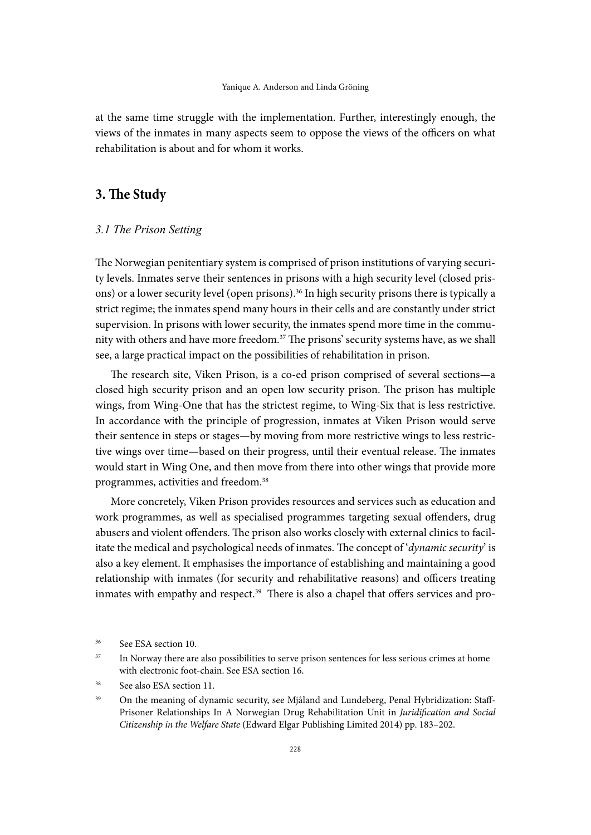at the same time struggle with the implementation. Further, interestingly enough, the views of the inmates in many aspects seem to oppose the views of the officers on what rehabilitation is about and for whom it works.

# **3. The Study**

#### *3.1 The Prison Setting*

The Norwegian penitentiary system is comprised of prison institutions of varying security levels. Inmates serve their sentences in prisons with a high security level (closed prisons) or a lower security level (open prisons).<sup>36</sup> In high security prisons there is typically a strict regime; the inmates spend many hours in their cells and are constantly under strict supervision. In prisons with lower security, the inmates spend more time in the community with others and have more freedom.<sup>37</sup> The prisons' security systems have, as we shall see, a large practical impact on the possibilities of rehabilitation in prison.

The research site, Viken Prison, is a co-ed prison comprised of several sections—a closed high security prison and an open low security prison. The prison has multiple wings, from Wing-One that has the strictest regime, to Wing-Six that is less restrictive. In accordance with the principle of progression, inmates at Viken Prison would serve their sentence in steps or stages—by moving from more restrictive wings to less restrictive wings over time—based on their progress, until their eventual release. The inmates would start in Wing One, and then move from there into other wings that provide more programmes, activities and freedom.38

More concretely, Viken Prison provides resources and services such as education and work programmes, as well as specialised programmes targeting sexual offenders, drug abusers and violent offenders. The prison also works closely with external clinics to facilitate the medical and psychological needs of inmates. The concept of '*dynamic security*' is also a key element. It emphasises the importance of establishing and maintaining a good relationship with inmates (for security and rehabilitative reasons) and officers treating inmates with empathy and respect.<sup>39</sup> There is also a chapel that offers services and pro-

<sup>38</sup> See also ESA section 11.

<sup>36</sup> See ESA section 10.

<sup>&</sup>lt;sup>37</sup> In Norway there are also possibilities to serve prison sentences for less serious crimes at home with electronic foot-chain. See ESA section 16.

<sup>&</sup>lt;sup>39</sup> On the meaning of dynamic security, see Mjåland and Lundeberg, Penal Hybridization: Staff-Prisoner Relationships In A Norwegian Drug Rehabilitation Unit in *Juridification and Social Citizenship in the Welfare State* (Edward Elgar Publishing Limited 2014) pp. 183–202.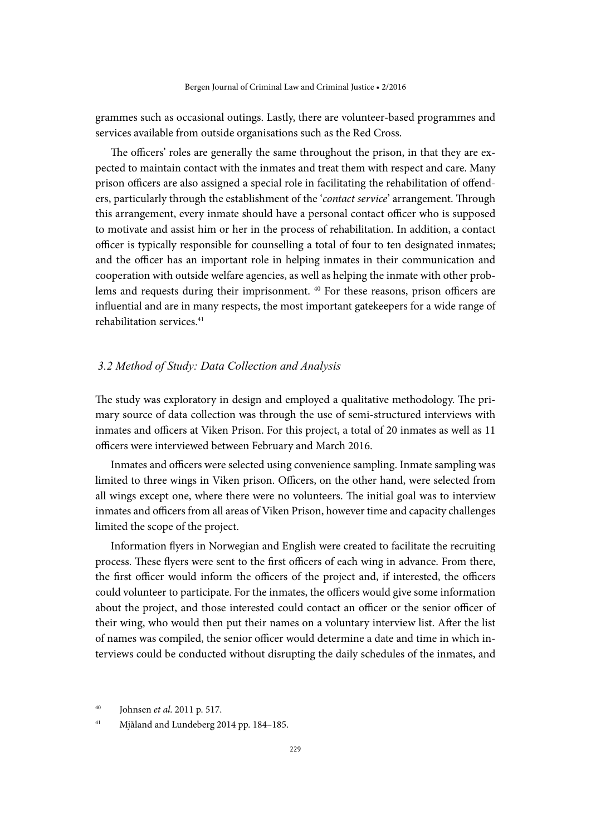grammes such as occasional outings. Lastly, there are volunteer-based programmes and services available from outside organisations such as the Red Cross.

The officers' roles are generally the same throughout the prison, in that they are expected to maintain contact with the inmates and treat them with respect and care. Many prison officers are also assigned a special role in facilitating the rehabilitation of offenders, particularly through the establishment of the '*contact service*' arrangement. Through this arrangement, every inmate should have a personal contact officer who is supposed to motivate and assist him or her in the process of rehabilitation. In addition, a contact officer is typically responsible for counselling a total of four to ten designated inmates; and the officer has an important role in helping inmates in their communication and cooperation with outside welfare agencies, as well as helping the inmate with other problems and requests during their imprisonment. 40 For these reasons, prison officers are influential and are in many respects, the most important gatekeepers for a wide range of rehabilitation services.<sup>41</sup>

## *3.2 Method of Study: Data Collection and Analysis*

The study was exploratory in design and employed a qualitative methodology. The primary source of data collection was through the use of semi-structured interviews with inmates and officers at Viken Prison. For this project, a total of 20 inmates as well as 11 officers were interviewed between February and March 2016.

Inmates and officers were selected using convenience sampling. Inmate sampling was limited to three wings in Viken prison. Officers, on the other hand, were selected from all wings except one, where there were no volunteers. The initial goal was to interview inmates and officers from all areas of Viken Prison, however time and capacity challenges limited the scope of the project.

Information flyers in Norwegian and English were created to facilitate the recruiting process. These flyers were sent to the first officers of each wing in advance. From there, the first officer would inform the officers of the project and, if interested, the officers could volunteer to participate. For the inmates, the officers would give some information about the project, and those interested could contact an officer or the senior officer of their wing, who would then put their names on a voluntary interview list. After the list of names was compiled, the senior officer would determine a date and time in which interviews could be conducted without disrupting the daily schedules of the inmates, and

<sup>40</sup> Johnsen *et al*. 2011 p. 517.

<sup>41</sup> Mjåland and Lundeberg 2014 pp. 184–185.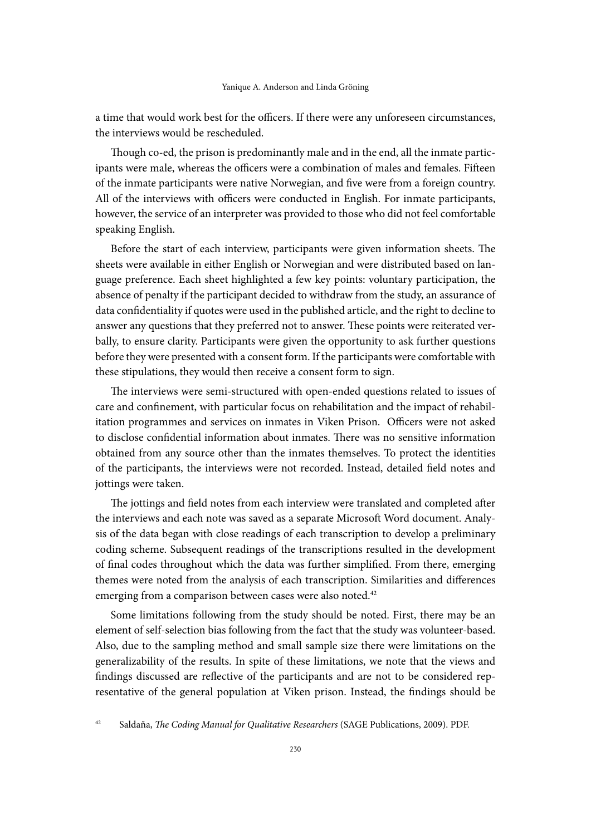a time that would work best for the officers. If there were any unforeseen circumstances, the interviews would be rescheduled.

Though co-ed, the prison is predominantly male and in the end, all the inmate participants were male, whereas the officers were a combination of males and females. Fifteen of the inmate participants were native Norwegian, and five were from a foreign country. All of the interviews with officers were conducted in English. For inmate participants, however, the service of an interpreter was provided to those who did not feel comfortable speaking English.

Before the start of each interview, participants were given information sheets. The sheets were available in either English or Norwegian and were distributed based on language preference. Each sheet highlighted a few key points: voluntary participation, the absence of penalty if the participant decided to withdraw from the study, an assurance of data confidentiality if quotes were used in the published article, and the right to decline to answer any questions that they preferred not to answer. These points were reiterated verbally, to ensure clarity. Participants were given the opportunity to ask further questions before they were presented with a consent form. If the participants were comfortable with these stipulations, they would then receive a consent form to sign.

The interviews were semi-structured with open-ended questions related to issues of care and confinement, with particular focus on rehabilitation and the impact of rehabilitation programmes and services on inmates in Viken Prison. Officers were not asked to disclose confidential information about inmates. There was no sensitive information obtained from any source other than the inmates themselves. To protect the identities of the participants, the interviews were not recorded. Instead, detailed field notes and jottings were taken.

The jottings and field notes from each interview were translated and completed after the interviews and each note was saved as a separate Microsoft Word document. Analysis of the data began with close readings of each transcription to develop a preliminary coding scheme. Subsequent readings of the transcriptions resulted in the development of final codes throughout which the data was further simplified. From there, emerging themes were noted from the analysis of each transcription. Similarities and differences emerging from a comparison between cases were also noted.<sup>42</sup>

Some limitations following from the study should be noted. First, there may be an element of self-selection bias following from the fact that the study was volunteer-based. Also, due to the sampling method and small sample size there were limitations on the generalizability of the results. In spite of these limitations, we note that the views and findings discussed are reflective of the participants and are not to be considered representative of the general population at Viken prison. Instead, the findings should be

<sup>42</sup> Saldaña, *The Coding Manual for Qualitative Researchers* (SAGE Publications, 2009). PDF.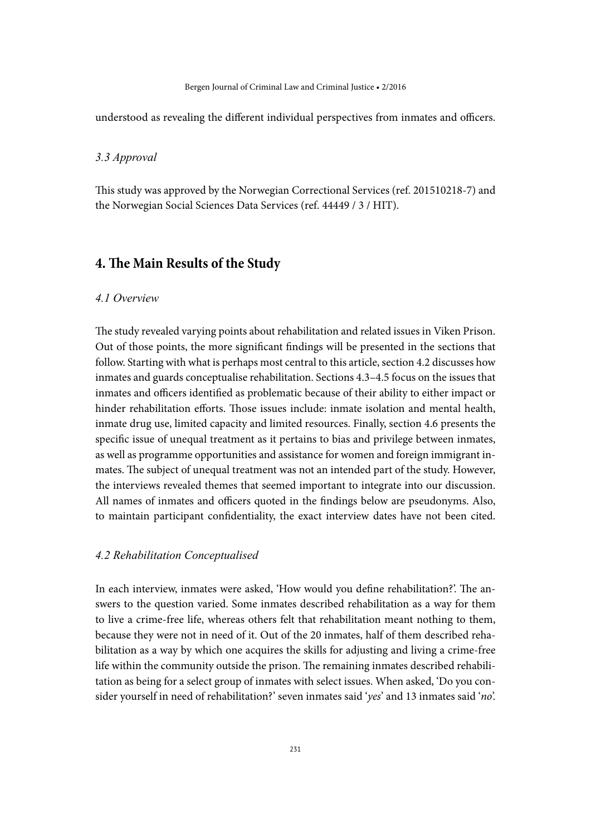#### Bergen Journal of Criminal Law and Criminal Justice • 2/2016

understood as revealing the different individual perspectives from inmates and officers.

# *3.3 Approval*

This study was approved by the Norwegian Correctional Services (ref. 201510218-7) and the Norwegian Social Sciences Data Services (ref. 44449 / 3 / HIT).

# **4. The Main Results of the Study**

## *4.1 Overview*

The study revealed varying points about rehabilitation and related issues in Viken Prison. Out of those points, the more significant findings will be presented in the sections that follow. Starting with what is perhaps most central to this article, section 4.2 discusses how inmates and guards conceptualise rehabilitation. Sections 4.3–4.5 focus on the issues that inmates and officers identified as problematic because of their ability to either impact or hinder rehabilitation efforts. Those issues include: inmate isolation and mental health, inmate drug use, limited capacity and limited resources. Finally, section 4.6 presents the specific issue of unequal treatment as it pertains to bias and privilege between inmates, as well as programme opportunities and assistance for women and foreign immigrant inmates. The subject of unequal treatment was not an intended part of the study. However, the interviews revealed themes that seemed important to integrate into our discussion. All names of inmates and officers quoted in the findings below are pseudonyms. Also, to maintain participant confidentiality, the exact interview dates have not been cited.

#### *4.2 Rehabilitation Conceptualised*

In each interview, inmates were asked, 'How would you define rehabilitation?'. The answers to the question varied. Some inmates described rehabilitation as a way for them to live a crime-free life, whereas others felt that rehabilitation meant nothing to them, because they were not in need of it. Out of the 20 inmates, half of them described rehabilitation as a way by which one acquires the skills for adjusting and living a crime-free life within the community outside the prison. The remaining inmates described rehabilitation as being for a select group of inmates with select issues. When asked, 'Do you consider yourself in need of rehabilitation?' seven inmates said '*yes*' and 13 inmates said '*no*'.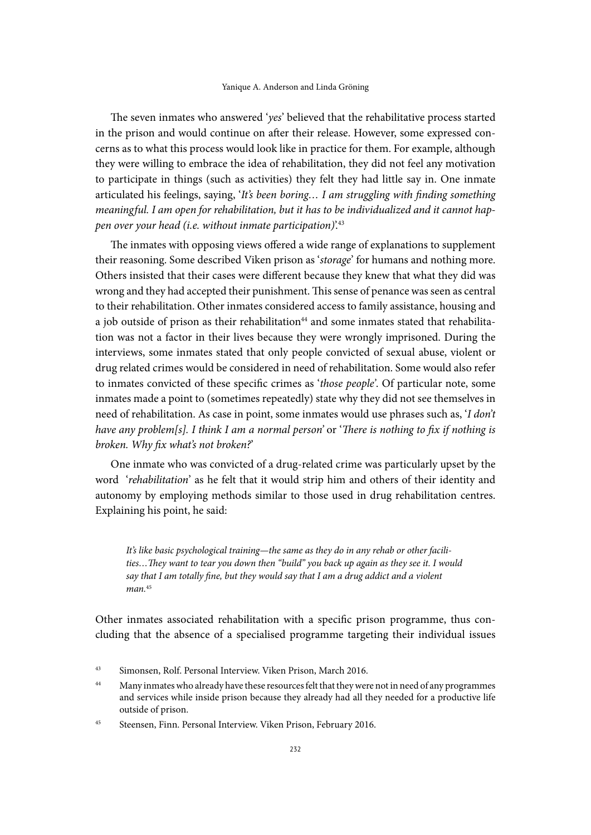The seven inmates who answered '*yes*' believed that the rehabilitative process started in the prison and would continue on after their release. However, some expressed concerns as to what this process would look like in practice for them. For example, although they were willing to embrace the idea of rehabilitation, they did not feel any motivation to participate in things (such as activities) they felt they had little say in. One inmate articulated his feelings, saying, '*It's been boring… I am struggling with finding something meaningful. I am open for rehabilitation, but it has to be individualized and it cannot happen over your head (i.e. without inmate participation)*'.43

The inmates with opposing views offered a wide range of explanations to supplement their reasoning. Some described Viken prison as '*storage*' for humans and nothing more. Others insisted that their cases were different because they knew that what they did was wrong and they had accepted their punishment. This sense of penance was seen as central to their rehabilitation. Other inmates considered access to family assistance, housing and a job outside of prison as their rehabilitation<sup>44</sup> and some inmates stated that rehabilitation was not a factor in their lives because they were wrongly imprisoned. During the interviews, some inmates stated that only people convicted of sexual abuse, violent or drug related crimes would be considered in need of rehabilitation. Some would also refer to inmates convicted of these specific crimes as '*those people'*. Of particular note, some inmates made a point to (sometimes repeatedly) state why they did not see themselves in need of rehabilitation. As case in point, some inmates would use phrases such as, '*I don't have any problem[s]. I think I am a normal person'* or '*There is nothing to fix if nothing is broken. Why fix what's not broken?*'

One inmate who was convicted of a drug-related crime was particularly upset by the word '*rehabilitation*' as he felt that it would strip him and others of their identity and autonomy by employing methods similar to those used in drug rehabilitation centres. Explaining his point, he said:

*It's like basic psychological training—the same as they do in any rehab or other facilities…They want to tear you down then "build" you back up again as they see it. I would say that I am totally fine, but they would say that I am a drug addict and a violent man.*<sup>45</sup>

Other inmates associated rehabilitation with a specific prison programme, thus concluding that the absence of a specialised programme targeting their individual issues

<sup>43</sup> Simonsen, Rolf. Personal Interview. Viken Prison, March 2016.

<sup>&</sup>lt;sup>44</sup> Many inmates who already have these resources felt that they were not in need of any programmes and services while inside prison because they already had all they needed for a productive life outside of prison.

<sup>45</sup> Steensen, Finn. Personal Interview. Viken Prison, February 2016.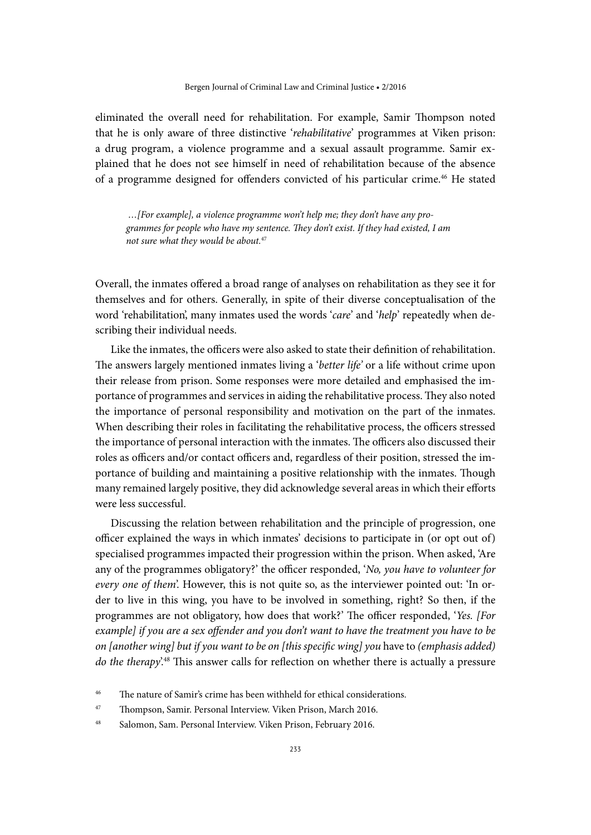eliminated the overall need for rehabilitation. For example, Samir Thompson noted that he is only aware of three distinctive '*rehabilitative*' programmes at Viken prison: a drug program, a violence programme and a sexual assault programme. Samir explained that he does not see himself in need of rehabilitation because of the absence of a programme designed for offenders convicted of his particular crime.46 He stated

 *…[For example], a violence programme won't help me; they don't have any programmes for people who have my sentence. They don't exist. If they had existed, I am not sure what they would be about.*<sup>47</sup>

Overall, the inmates offered a broad range of analyses on rehabilitation as they see it for themselves and for others. Generally, in spite of their diverse conceptualisation of the word 'rehabilitation', many inmates used the words '*care*' and '*help*' repeatedly when describing their individual needs.

Like the inmates, the officers were also asked to state their definition of rehabilitation. The answers largely mentioned inmates living a '*better life'* or a life without crime upon their release from prison. Some responses were more detailed and emphasised the importance of programmes and services in aiding the rehabilitative process. They also noted the importance of personal responsibility and motivation on the part of the inmates. When describing their roles in facilitating the rehabilitative process, the officers stressed the importance of personal interaction with the inmates. The officers also discussed their roles as officers and/or contact officers and, regardless of their position, stressed the importance of building and maintaining a positive relationship with the inmates. Though many remained largely positive, they did acknowledge several areas in which their efforts were less successful.

Discussing the relation between rehabilitation and the principle of progression, one officer explained the ways in which inmates' decisions to participate in (or opt out of) specialised programmes impacted their progression within the prison. When asked, 'Are any of the programmes obligatory?' the officer responded, '*No, you have to volunteer for every one of them*'. However, this is not quite so, as the interviewer pointed out: 'In order to live in this wing, you have to be involved in something, right? So then, if the programmes are not obligatory, how does that work?' The officer responded, '*Yes. [For example] if you are a sex offender and you don't want to have the treatment you have to be on [another wing] but if you want to be on [this specific wing] you* have to *(emphasis added) do the therapy*'.<sup>48</sup> This answer calls for reflection on whether there is actually a pressure

<sup>46</sup> The nature of Samir's crime has been withheld for ethical considerations.

<sup>47</sup> Thompson, Samir. Personal Interview. Viken Prison, March 2016.

<sup>48</sup> Salomon, Sam. Personal Interview. Viken Prison, February 2016.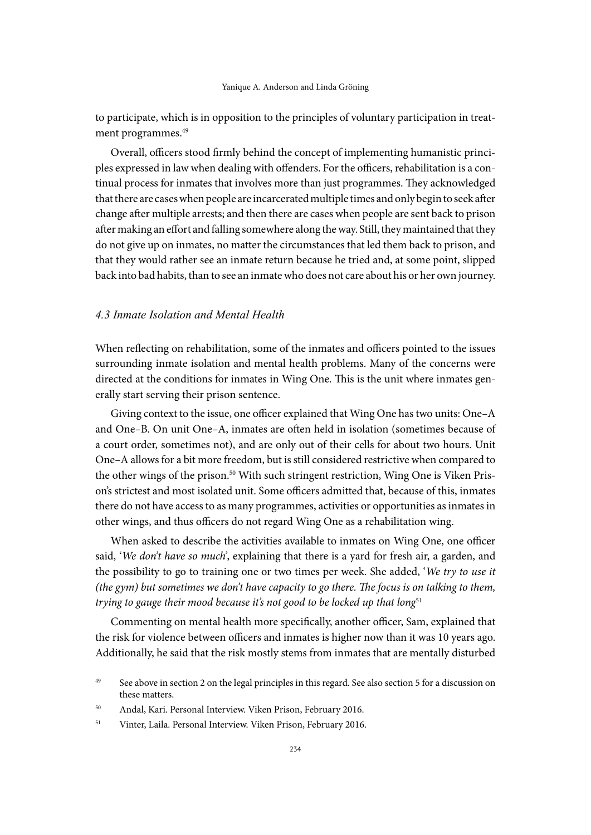to participate, which is in opposition to the principles of voluntary participation in treatment programmes.<sup>49</sup>

Overall, officers stood firmly behind the concept of implementing humanistic principles expressed in law when dealing with offenders. For the officers, rehabilitation is a continual process for inmates that involves more than just programmes. They acknowledged that there are cases when people are incarcerated multiple times and only begin to seek after change after multiple arrests; and then there are cases when people are sent back to prison after making an effort and falling somewhere along the way. Still, they maintained that they do not give up on inmates, no matter the circumstances that led them back to prison, and that they would rather see an inmate return because he tried and, at some point, slipped back into bad habits, than to see an inmate who does not care about his or her own journey.

# *4.3 Inmate Isolation and Mental Health*

When reflecting on rehabilitation, some of the inmates and officers pointed to the issues surrounding inmate isolation and mental health problems. Many of the concerns were directed at the conditions for inmates in Wing One. This is the unit where inmates generally start serving their prison sentence.

Giving context to the issue, one officer explained that Wing One has two units: One*–*A and One*–*B. On unit One*–*A, inmates are often held in isolation (sometimes because of a court order, sometimes not), and are only out of their cells for about two hours. Unit One*–*A allows for a bit more freedom, but is still considered restrictive when compared to the other wings of the prison.<sup>50</sup> With such stringent restriction, Wing One is Viken Prison's strictest and most isolated unit. Some officers admitted that, because of this, inmates there do not have access to as many programmes, activities or opportunities as inmates in other wings, and thus officers do not regard Wing One as a rehabilitation wing.

When asked to describe the activities available to inmates on Wing One, one officer said, '*We don't have so much'*, explaining that there is a yard for fresh air, a garden, and the possibility to go to training one or two times per week. She added, '*We try to use it (the gym) but sometimes we don't have capacity to go there. The focus is on talking to them, trying to gauge their mood because it's not good to be locked up that long*<sup>51</sup>

Commenting on mental health more specifically, another officer, Sam, explained that the risk for violence between officers and inmates is higher now than it was 10 years ago. Additionally, he said that the risk mostly stems from inmates that are mentally disturbed

<sup>&</sup>lt;sup>49</sup> See above in section 2 on the legal principles in this regard. See also section 5 for a discussion on these matters.

<sup>50</sup> Andal, Kari. Personal Interview. Viken Prison, February 2016.

<sup>51</sup> Vinter, Laila. Personal Interview. Viken Prison, February 2016.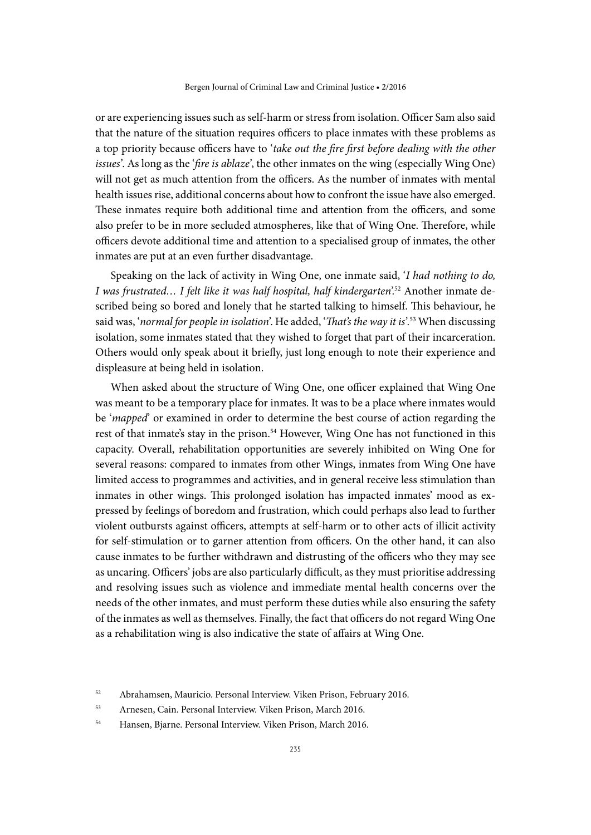or are experiencing issues such as self-harm or stress from isolation. Officer Sam also said that the nature of the situation requires officers to place inmates with these problems as a top priority because officers have to '*take out the fire first before dealing with the other issues'*. As long as the '*fire is ablaze'*, the other inmates on the wing (especially Wing One) will not get as much attention from the officers. As the number of inmates with mental health issues rise, additional concerns about how to confront the issue have also emerged. These inmates require both additional time and attention from the officers, and some also prefer to be in more secluded atmospheres, like that of Wing One. Therefore, while officers devote additional time and attention to a specialised group of inmates, the other inmates are put at an even further disadvantage.

Speaking on the lack of activity in Wing One, one inmate said, '*I had nothing to do, I was frustrated… I felt like it was half hospital, half kindergarten*'.52 Another inmate described being so bored and lonely that he started talking to himself. This behaviour, he said was, '*normal for people in isolation'*. He added, '*That's the way it is'*. 53 When discussing isolation, some inmates stated that they wished to forget that part of their incarceration. Others would only speak about it briefly, just long enough to note their experience and displeasure at being held in isolation.

When asked about the structure of Wing One, one officer explained that Wing One was meant to be a temporary place for inmates. It was to be a place where inmates would be '*mapped*' or examined in order to determine the best course of action regarding the rest of that inmate's stay in the prison.<sup>54</sup> However, Wing One has not functioned in this capacity. Overall, rehabilitation opportunities are severely inhibited on Wing One for several reasons: compared to inmates from other Wings, inmates from Wing One have limited access to programmes and activities, and in general receive less stimulation than inmates in other wings. This prolonged isolation has impacted inmates' mood as expressed by feelings of boredom and frustration, which could perhaps also lead to further violent outbursts against officers, attempts at self-harm or to other acts of illicit activity for self-stimulation or to garner attention from officers. On the other hand, it can also cause inmates to be further withdrawn and distrusting of the officers who they may see as uncaring. Officers' jobs are also particularly difficult, as they must prioritise addressing and resolving issues such as violence and immediate mental health concerns over the needs of the other inmates, and must perform these duties while also ensuring the safety of the inmates as well as themselves. Finally, the fact that officers do not regard Wing One as a rehabilitation wing is also indicative the state of affairs at Wing One.

<sup>52</sup> Abrahamsen, Mauricio. Personal Interview. Viken Prison, February 2016.

<sup>53</sup> Arnesen, Cain. Personal Interview. Viken Prison, March 2016.

<sup>54</sup> Hansen, Bjarne. Personal Interview. Viken Prison, March 2016.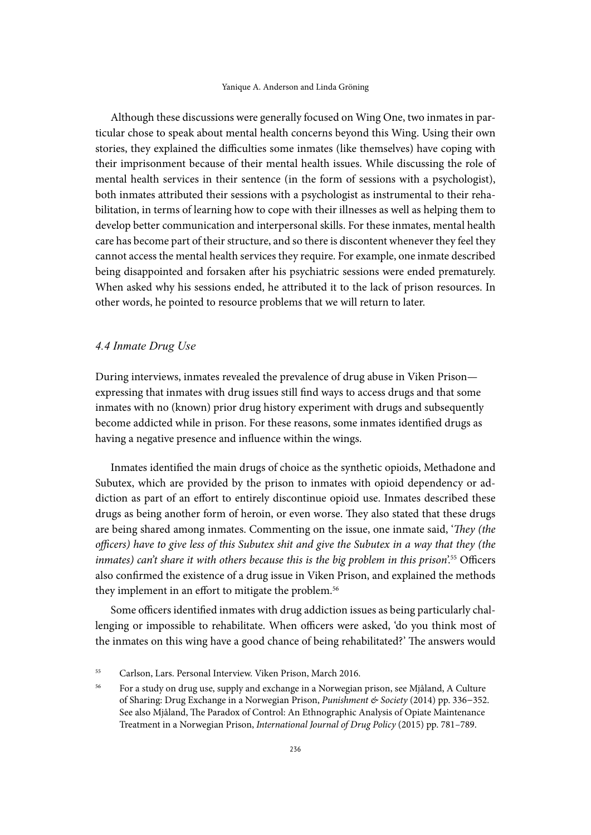Although these discussions were generally focused on Wing One, two inmates in particular chose to speak about mental health concerns beyond this Wing. Using their own stories, they explained the difficulties some inmates (like themselves) have coping with their imprisonment because of their mental health issues. While discussing the role of mental health services in their sentence (in the form of sessions with a psychologist), both inmates attributed their sessions with a psychologist as instrumental to their rehabilitation, in terms of learning how to cope with their illnesses as well as helping them to develop better communication and interpersonal skills. For these inmates, mental health care has become part of their structure, and so there is discontent whenever they feel they cannot access the mental health services they require. For example, one inmate described being disappointed and forsaken after his psychiatric sessions were ended prematurely. When asked why his sessions ended, he attributed it to the lack of prison resources. In other words, he pointed to resource problems that we will return to later.

## *4.4 Inmate Drug Use*

During interviews, inmates revealed the prevalence of drug abuse in Viken Prison expressing that inmates with drug issues still find ways to access drugs and that some inmates with no (known) prior drug history experiment with drugs and subsequently become addicted while in prison. For these reasons, some inmates identified drugs as having a negative presence and influence within the wings.

Inmates identified the main drugs of choice as the synthetic opioids, Methadone and Subutex, which are provided by the prison to inmates with opioid dependency or addiction as part of an effort to entirely discontinue opioid use. Inmates described these drugs as being another form of heroin, or even worse. They also stated that these drugs are being shared among inmates. Commenting on the issue, one inmate said, '*They (the officers) have to give less of this Subutex shit and give the Subutex in a way that they (the*  inmates) can't share it with others because this is the big problem in this prison<sup>'55</sup> Officers also confirmed the existence of a drug issue in Viken Prison, and explained the methods they implement in an effort to mitigate the problem.<sup>56</sup>

Some officers identified inmates with drug addiction issues as being particularly challenging or impossible to rehabilitate. When officers were asked, 'do you think most of the inmates on this wing have a good chance of being rehabilitated?' The answers would

<sup>55</sup> Carlson, Lars. Personal Interview. Viken Prison, March 2016.

<sup>56</sup> For a study on drug use, supply and exchange in a Norwegian prison, see Mjåland, A Culture of Sharing: Drug Exchange in a Norwegian Prison, *Punishment & Society* (2014) pp. 336*–*352. See also Mjåland, The Paradox of Control: An Ethnographic Analysis of Opiate Maintenance Treatment in a Norwegian Prison, *International Journal of Drug Policy* (2015) pp. 781–789.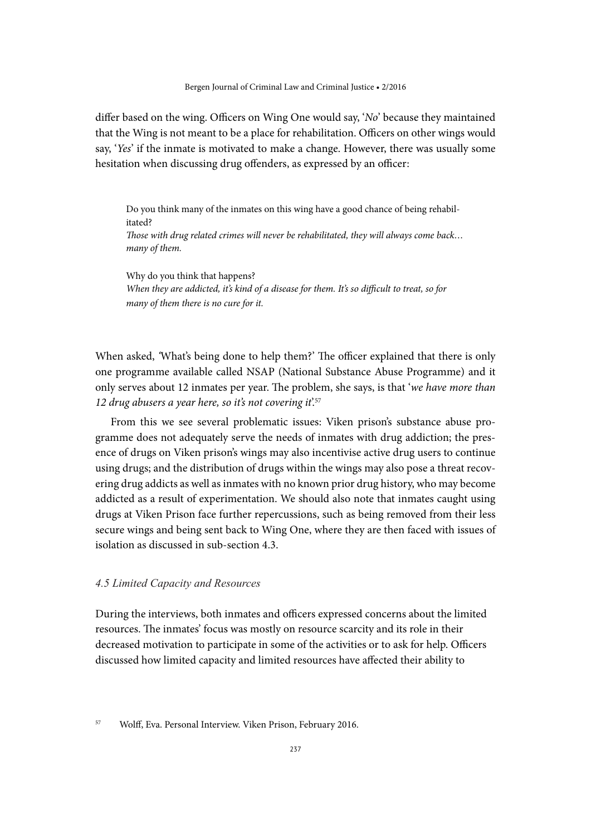differ based on the wing. Officers on Wing One would say, '*No*' because they maintained that the Wing is not meant to be a place for rehabilitation. Officers on other wings would say, '*Yes*' if the inmate is motivated to make a change. However, there was usually some hesitation when discussing drug offenders, as expressed by an officer:

Do you think many of the inmates on this wing have a good chance of being rehabilitated? *Those with drug related crimes will never be rehabilitated, they will always come back… many of them.* 

Why do you think that happens? *When they are addicted, it's kind of a disease for them. It's so difficult to treat, so for many of them there is no cure for it.*

When asked, *'*What's being done to help them?' The officer explained that there is only one programme available called NSAP (National Substance Abuse Programme) and it only serves about 12 inmates per year. The problem, she says, is that '*we have more than 12 drug abusers a year here, so it's not covering it*'.57

From this we see several problematic issues: Viken prison's substance abuse programme does not adequately serve the needs of inmates with drug addiction; the presence of drugs on Viken prison's wings may also incentivise active drug users to continue using drugs; and the distribution of drugs within the wings may also pose a threat recovering drug addicts as well as inmates with no known prior drug history, who may become addicted as a result of experimentation. We should also note that inmates caught using drugs at Viken Prison face further repercussions, such as being removed from their less secure wings and being sent back to Wing One, where they are then faced with issues of isolation as discussed in sub-section 4.3.

### *4.5 Limited Capacity and Resources*

During the interviews, both inmates and officers expressed concerns about the limited resources. The inmates' focus was mostly on resource scarcity and its role in their decreased motivation to participate in some of the activities or to ask for help. Officers discussed how limited capacity and limited resources have affected their ability to

<sup>57</sup> Wolff, Eva. Personal Interview. Viken Prison, February 2016.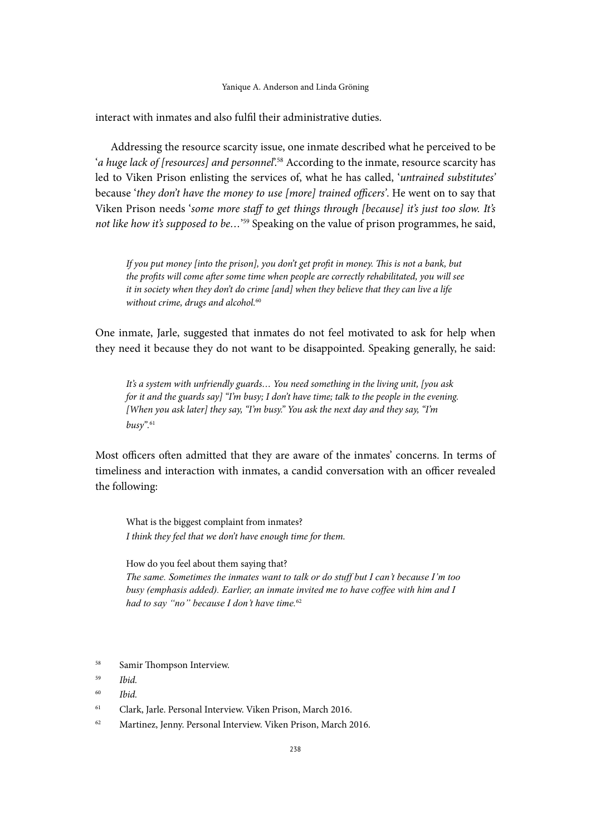#### Yanique A. Anderson and Linda Gröning

interact with inmates and also fulfil their administrative duties.

Addressing the resource scarcity issue, one inmate described what he perceived to be '*a huge lack of [resources] and personnel*<sup>258</sup> According to the inmate, resource scarcity has led to Viken Prison enlisting the services of, what he has called, '*untrained substitutes'* because '*they don't have the money to use [more] trained officers'*. He went on to say that Viken Prison needs '*some more staff to get things through [because] it's just too slow. It's not like how it's supposed to be…*' 59 Speaking on the value of prison programmes, he said,

*If you put money [into the prison], you don't get profit in money. This is not a bank, but the profits will come after some time when people are correctly rehabilitated, you will see it in society when they don't do crime [and] when they believe that they can live a life without crime, drugs and alcohol.*<sup>60</sup>

One inmate, Jarle, suggested that inmates do not feel motivated to ask for help when they need it because they do not want to be disappointed. Speaking generally, he said:

*It's a system with unfriendly guards… You need something in the living unit, [you ask for it and the guards say] "I'm busy; I don't have time; talk to the people in the evening. [When you ask later] they say, "I'm busy." You ask the next day and they say, "I'm busy".*<sup>61</sup>

Most officers often admitted that they are aware of the inmates' concerns. In terms of timeliness and interaction with inmates, a candid conversation with an officer revealed the following:

What is the biggest complaint from inmates? *I think they feel that we don't have enough time for them.*

How do you feel about them saying that? *The same. Sometimes the inmates want to talk or do stuff but I can't because I'm too busy (emphasis added). Earlier, an inmate invited me to have coffee with him and I had to say "no" because I don't have time.*<sup>62</sup>

- <sup>58</sup> Samir Thompson Interview.
- <sup>59</sup> *Ibid.*
- <sup>60</sup> *Ibid.*
- <sup>61</sup> Clark, Jarle. Personal Interview. Viken Prison, March 2016.
- <sup>62</sup> Martinez, Jenny. Personal Interview. Viken Prison, March 2016.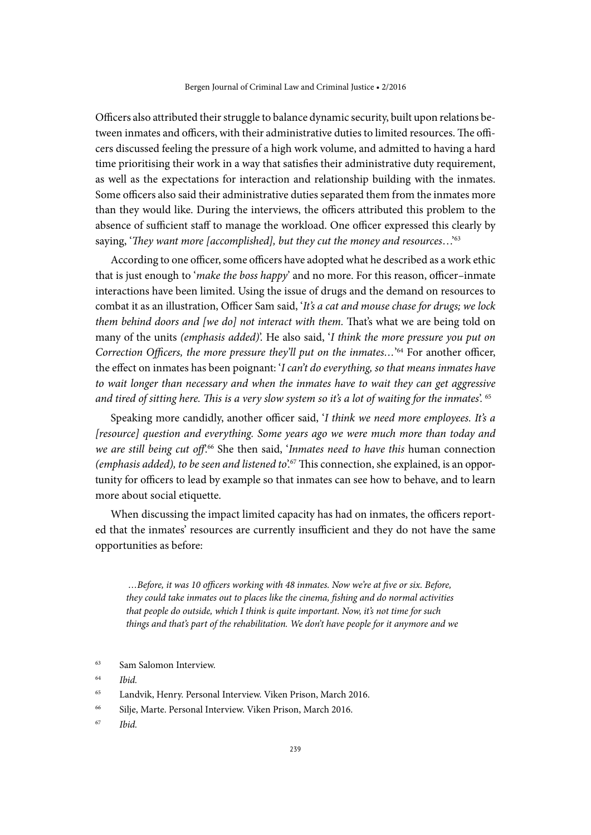Officers also attributed their struggle to balance dynamic security, built upon relations between inmates and officers, with their administrative duties to limited resources. The officers discussed feeling the pressure of a high work volume, and admitted to having a hard time prioritising their work in a way that satisfies their administrative duty requirement, as well as the expectations for interaction and relationship building with the inmates. Some officers also said their administrative duties separated them from the inmates more than they would like. During the interviews, the officers attributed this problem to the absence of sufficient staff to manage the workload. One officer expressed this clearly by saying, '*They want more [accomplished], but they cut the money and resources*…'63

According to one officer, some officers have adopted what he described as a work ethic that is just enough to '*make the boss happy*' and no more. For this reason, officer*–*inmate interactions have been limited. Using the issue of drugs and the demand on resources to combat it as an illustration, Officer Sam said, '*It's a cat and mouse chase for drugs; we lock them behind doors and [we do] not interact with them. That's what we are being told on* many of the units *(emphasis added)*'. He also said, '*I think the more pressure you put on*  Correction Officers, the more pressure they'll put on the inmates...<sup>'64</sup> For another officer, the effect on inmates has been poignant: '*I can't do everything, so that means inmates have to wait longer than necessary and when the inmates have to wait they can get aggressive and tired of sitting here. This is a very slow system so it's a lot of waiting for the inmates*'. 65

Speaking more candidly, another officer said, '*I think we need more employees. It's a [resource] question and everything. Some years ago we were much more than today and we are still being cut off*'.66 She then said, '*Inmates need to have this* human connection *(emphasis added), to be seen and listened to*'.67 This connection, she explained, is an opportunity for officers to lead by example so that inmates can see how to behave, and to learn more about social etiquette.

When discussing the impact limited capacity has had on inmates, the officers reported that the inmates' resources are currently insufficient and they do not have the same opportunities as before:

 *…Before, it was 10 officers working with 48 inmates. Now we're at five or six. Before, they could take inmates out to places like the cinema, fishing and do normal activities that people do outside, which I think is quite important. Now, it's not time for such things and that's part of the rehabilitation. We don't have people for it anymore and we* 

- <sup>63</sup> Sam Salomon Interview.
- <sup>64</sup> *Ibid.*
- <sup>65</sup> Landvik, Henry. Personal Interview. Viken Prison, March 2016.
- <sup>66</sup> Silje, Marte. Personal Interview. Viken Prison, March 2016.
- <sup>67</sup> *Ibid.*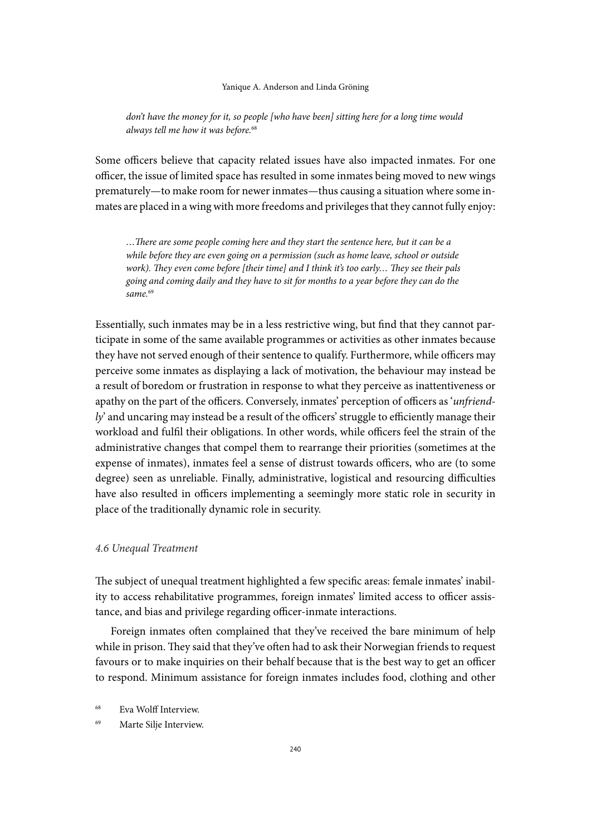#### Yanique A. Anderson and Linda Gröning

*don't have the money for it, so people [who have been] sitting here for a long time would always tell me how it was before.*<sup>68</sup>

Some officers believe that capacity related issues have also impacted inmates. For one officer, the issue of limited space has resulted in some inmates being moved to new wings prematurely—to make room for newer inmates—thus causing a situation where some inmates are placed in a wing with more freedoms and privileges that they cannot fully enjoy:

*…There are some people coming here and they start the sentence here, but it can be a while before they are even going on a permission (such as home leave, school or outside work). They even come before [their time] and I think it's too early… They see their pals going and coming daily and they have to sit for months to a year before they can do the same.*<sup>69</sup>

Essentially, such inmates may be in a less restrictive wing, but find that they cannot participate in some of the same available programmes or activities as other inmates because they have not served enough of their sentence to qualify. Furthermore, while officers may perceive some inmates as displaying a lack of motivation, the behaviour may instead be a result of boredom or frustration in response to what they perceive as inattentiveness or apathy on the part of the officers. Conversely, inmates' perception of officers as '*unfriendly*' and uncaring may instead be a result of the officers' struggle to efficiently manage their workload and fulfil their obligations. In other words, while officers feel the strain of the administrative changes that compel them to rearrange their priorities (sometimes at the expense of inmates), inmates feel a sense of distrust towards officers, who are (to some degree) seen as unreliable. Finally, administrative, logistical and resourcing difficulties have also resulted in officers implementing a seemingly more static role in security in place of the traditionally dynamic role in security.

#### *4.6 Unequal Treatment*

The subject of unequal treatment highlighted a few specific areas: female inmates' inability to access rehabilitative programmes, foreign inmates' limited access to officer assistance, and bias and privilege regarding officer-inmate interactions.

Foreign inmates often complained that they've received the bare minimum of help while in prison. They said that they've often had to ask their Norwegian friends to request favours or to make inquiries on their behalf because that is the best way to get an officer to respond. Minimum assistance for foreign inmates includes food, clothing and other

<sup>69</sup> Marte Silje Interview.

<sup>68</sup> Eva Wolff Interview.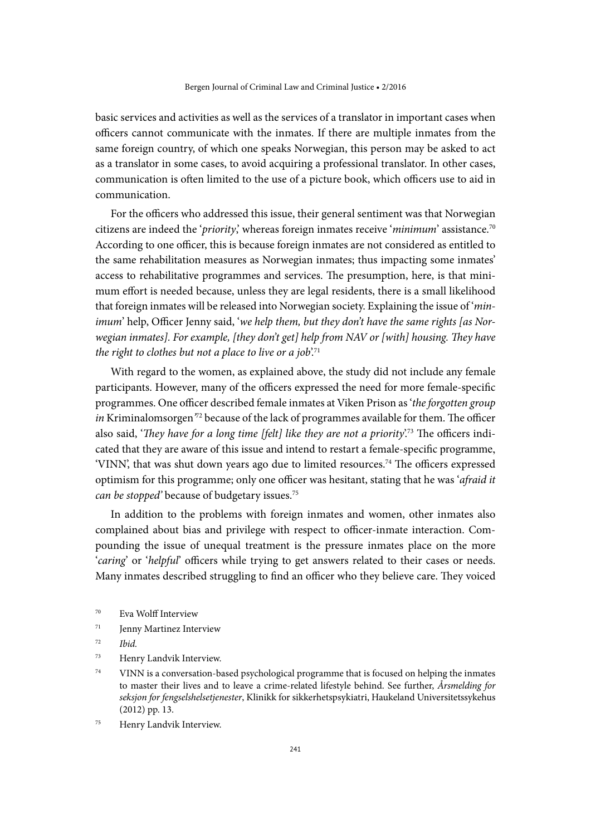basic services and activities as well as the services of a translator in important cases when officers cannot communicate with the inmates. If there are multiple inmates from the same foreign country, of which one speaks Norwegian, this person may be asked to act as a translator in some cases, to avoid acquiring a professional translator. In other cases, communication is often limited to the use of a picture book, which officers use to aid in communication.

For the officers who addressed this issue, their general sentiment was that Norwegian citizens are indeed the '*priority*,' whereas foreign inmates receive '*minimum*' assistance.70 According to one officer, this is because foreign inmates are not considered as entitled to the same rehabilitation measures as Norwegian inmates; thus impacting some inmates' access to rehabilitative programmes and services. The presumption, here, is that minimum effort is needed because, unless they are legal residents, there is a small likelihood that foreign inmates will be released into Norwegian society. Explaining the issue of '*minimum*' help, Officer Jenny said, '*we help them, but they don't have the same rights [as Norwegian inmates]. For example, [they don't get] help from NAV or [with] housing. They have*  the right to clothes but not a place to live or a job<sup>'71</sup>

With regard to the women, as explained above, the study did not include any female participants. However, many of the officers expressed the need for more female-specific programmes. One officer described female inmates at Viken Prison as '*the forgotten group in* Kriminalomsorgen*'* 72 because of the lack of programmes available for them. The officer also said, '*They have for a long time [felt] like they are not a priority*'.73 The officers indicated that they are aware of this issue and intend to restart a female-specific programme, 'VINN', that was shut down years ago due to limited resources.<sup>74</sup> The officers expressed optimism for this programme; only one officer was hesitant, stating that he was '*afraid it can be stopped*' because of budgetary issues.<sup>75</sup>

In addition to the problems with foreign inmates and women, other inmates also complained about bias and privilege with respect to officer-inmate interaction. Compounding the issue of unequal treatment is the pressure inmates place on the more '*caring*' or '*helpful*' officers while trying to get answers related to their cases or needs. Many inmates described struggling to find an officer who they believe care. They voiced

- <sup>70</sup> Eva Wolff Interview
- <sup>71</sup> Jenny Martinez Interview
- <sup>72</sup> *Ibid.*
- <sup>73</sup> Henry Landvik Interview.
- $74$  VINN is a conversation-based psychological programme that is focused on helping the inmates to master their lives and to leave a crime-related lifestyle behind. See further, *Årsmelding for seksjon for fengselshelsetjenester*, Klinikk for sikkerhetspsykiatri, Haukeland Universitetssykehus (2012) pp. 13.
- <sup>75</sup> Henry Landvik Interview.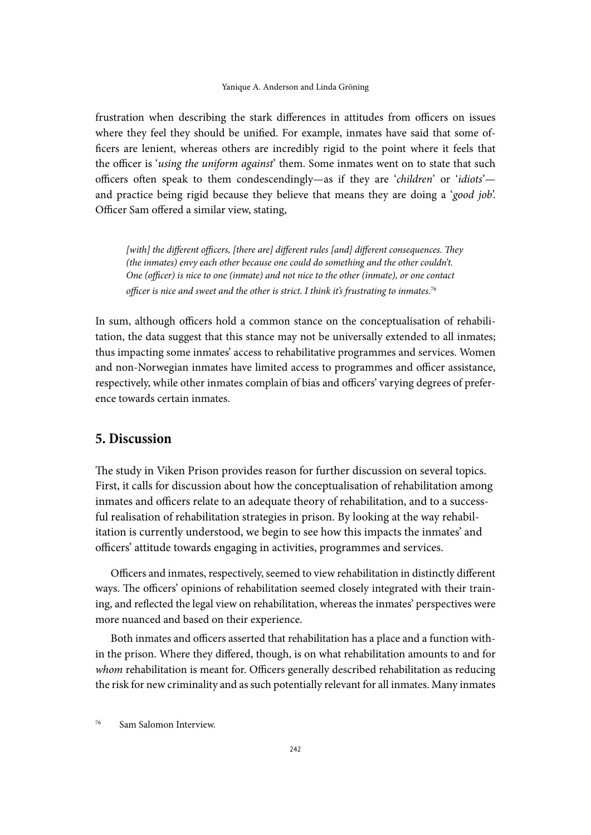#### Yanique A. Anderson and Linda Gröning

frustration when describing the stark differences in attitudes from officers on issues where they feel they should be unified. For example, inmates have said that some officers are lenient, whereas others are incredibly rigid to the point where it feels that the officer is '*using the uniform against*' them. Some inmates went on to state that such officers often speak to them condescendingly—as if they are '*children*' or '*idiots*' and practice being rigid because they believe that means they are doing a '*good job*'. Officer Sam offered a similar view, stating,

*[with] the different officers, [there are] different rules [and] different consequences. They (the inmates) envy each other because one could do something and the other couldn't. One (officer) is nice to one (inmate) and not nice to the other (inmate), or one contact officer is nice and sweet and the other is strict. I think it's frustrating to inmates.*<sup>76</sup>

In sum, although officers hold a common stance on the conceptualisation of rehabilitation, the data suggest that this stance may not be universally extended to all inmates; thus impacting some inmates' access to rehabilitative programmes and services. Women and non-Norwegian inmates have limited access to programmes and officer assistance, respectively, while other inmates complain of bias and officers' varying degrees of preference towards certain inmates.

# **5. Discussion**

The study in Viken Prison provides reason for further discussion on several topics. First, it calls for discussion about how the conceptualisation of rehabilitation among inmates and officers relate to an adequate theory of rehabilitation, and to a successful realisation of rehabilitation strategies in prison. By looking at the way rehabilitation is currently understood, we begin to see how this impacts the inmates' and officers' attitude towards engaging in activities, programmes and services.

Officers and inmates, respectively, seemed to view rehabilitation in distinctly different ways. The officers' opinions of rehabilitation seemed closely integrated with their training, and reflected the legal view on rehabilitation, whereas the inmates' perspectives were more nuanced and based on their experience.

Both inmates and officers asserted that rehabilitation has a place and a function within the prison. Where they differed, though, is on what rehabilitation amounts to and for *whom* rehabilitation is meant for. Officers generally described rehabilitation as reducing the risk for new criminality and as such potentially relevant for all inmates. Many inmates

<sup>76</sup> Sam Salomon Interview.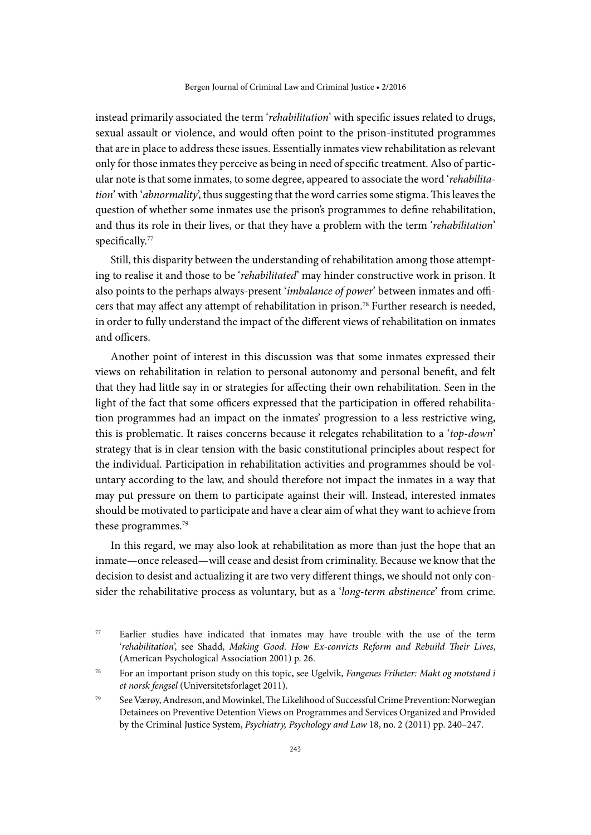instead primarily associated the term '*rehabilitation*' with specific issues related to drugs, sexual assault or violence, and would often point to the prison-instituted programmes that are in place to address these issues. Essentially inmates view rehabilitation as relevant only for those inmates they perceive as being in need of specific treatment. Also of particular note is that some inmates, to some degree, appeared to associate the word '*rehabilitation*' with '*abnormality*', thus suggesting that the word carries some stigma. This leaves the question of whether some inmates use the prison's programmes to define rehabilitation, and thus its role in their lives, or that they have a problem with the term '*rehabilitation*' specifically.<sup>77</sup>

Still, this disparity between the understanding of rehabilitation among those attempting to realise it and those to be '*rehabilitated*' may hinder constructive work in prison. It also points to the perhaps always-present '*imbalance of power*' between inmates and officers that may affect any attempt of rehabilitation in prison.78 Further research is needed, in order to fully understand the impact of the different views of rehabilitation on inmates and officers.

Another point of interest in this discussion was that some inmates expressed their views on rehabilitation in relation to personal autonomy and personal benefit, and felt that they had little say in or strategies for affecting their own rehabilitation. Seen in the light of the fact that some officers expressed that the participation in offered rehabilitation programmes had an impact on the inmates' progression to a less restrictive wing, this is problematic. It raises concerns because it relegates rehabilitation to a '*top*-*down*' strategy that is in clear tension with the basic constitutional principles about respect for the individual. Participation in rehabilitation activities and programmes should be voluntary according to the law, and should therefore not impact the inmates in a way that may put pressure on them to participate against their will. Instead, interested inmates should be motivated to participate and have a clear aim of what they want to achieve from these programmes.<sup>79</sup>

In this regard, we may also look at rehabilitation as more than just the hope that an inmate—once released—will cease and desist from criminality. Because we know that the decision to desist and actualizing it are two very different things, we should not only consider the rehabilitative process as voluntary, but as a '*long-term abstinence*' from crime.

<sup>77</sup> Earlier studies have indicated that inmates may have trouble with the use of the term '*rehabilitation*', see Shadd, *Making Good. How Ex-convicts Reform and Rebuild Their Lives*, (American Psychological Association 2001) p. 26.

<sup>78</sup> For an important prison study on this topic, see Ugelvik, *Fangenes Friheter: Makt og motstand i et norsk fengsel* (Universitetsforlaget 2011).

<sup>79</sup> See Værøy, Andreson, and Mowinkel, The Likelihood of Successful Crime Prevention: Norwegian Detainees on Preventive Detention Views on Programmes and Services Organized and Provided by the Criminal Justice System, *Psychiatry, Psychology and Law* 18, no. 2 (2011) pp. 240–247.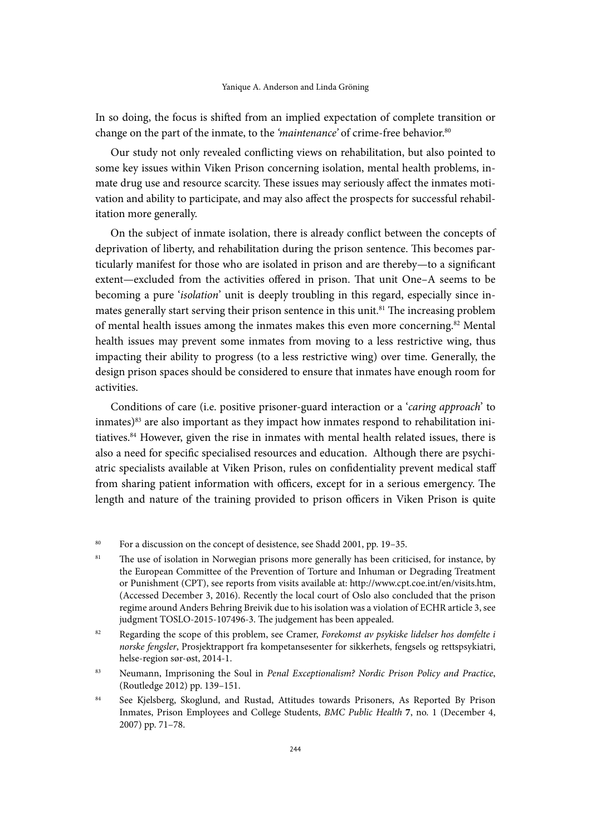In so doing, the focus is shifted from an implied expectation of complete transition or change on the part of the inmate, to the *'maintenance'* of crime-free behavior.<sup>80</sup>

Our study not only revealed conflicting views on rehabilitation, but also pointed to some key issues within Viken Prison concerning isolation, mental health problems, inmate drug use and resource scarcity. These issues may seriously affect the inmates motivation and ability to participate, and may also affect the prospects for successful rehabilitation more generally.

On the subject of inmate isolation, there is already conflict between the concepts of deprivation of liberty, and rehabilitation during the prison sentence. This becomes particularly manifest for those who are isolated in prison and are thereby—to a significant extent—excluded from the activities offered in prison. That unit One–A seems to be becoming a pure '*isolation*' unit is deeply troubling in this regard, especially since inmates generally start serving their prison sentence in this unit.<sup>81</sup> The increasing problem of mental health issues among the inmates makes this even more concerning.<sup>82</sup> Mental health issues may prevent some inmates from moving to a less restrictive wing, thus impacting their ability to progress (to a less restrictive wing) over time. Generally, the design prison spaces should be considered to ensure that inmates have enough room for activities.

Conditions of care (i.e. positive prisoner-guard interaction or a '*caring approach*' to inmates)<sup>83</sup> are also important as they impact how inmates respond to rehabilitation initiatives.84 However, given the rise in inmates with mental health related issues, there is also a need for specific specialised resources and education. Although there are psychiatric specialists available at Viken Prison, rules on confidentiality prevent medical staff from sharing patient information with officers, except for in a serious emergency. The length and nature of the training provided to prison officers in Viken Prison is quite

- <sup>83</sup> Neumann, Imprisoning the Soul in *Penal Exceptionalism? Nordic Prison Policy and Practice*, (Routledge 2012) pp. 139–151.
- 84 See Kjelsberg, Skoglund, and Rustad, Attitudes towards Prisoners, As Reported By Prison Inmates, Prison Employees and College Students, *BMC Public Health* **7**, no. 1 (December 4, 2007) pp. 71–78.

<sup>80</sup> For a discussion on the concept of desistence, see Shadd 2001, pp. 19-35.

<sup>&</sup>lt;sup>81</sup> The use of isolation in Norwegian prisons more generally has been criticised, for instance, by the European Committee of the Prevention of Torture and Inhuman or Degrading Treatment or Punishment (CPT), see reports from visits available at: [http://www.cpt.coe.int/en/visits.htm,](http://www.cpt.coe.int/en/visits.htm) (Accessed December 3, 2016). Recently the local court of Oslo also concluded that the prison regime around Anders Behring Breivik due to his isolation was a violation of ECHR article 3, see judgment TOSLO-2015-107496-3. The judgement has been appealed.

<sup>82</sup> Regarding the scope of this problem, see Cramer, *Forekomst av psykiske lidelser hos domfelte i norske fengsler*, Prosjektrapport fra kompetansesenter for sikkerhets, fengsels og rettspsykiatri, helse-region sør-øst, 2014-1.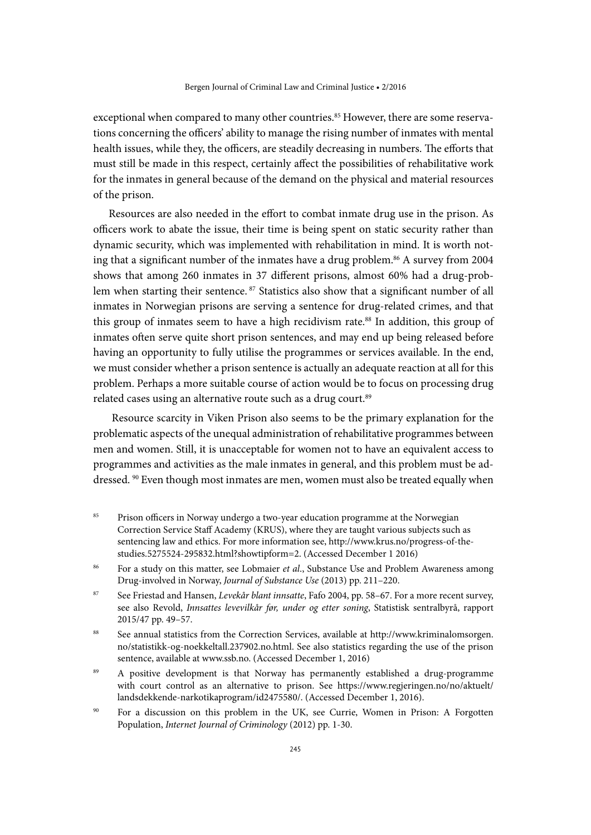exceptional when compared to many other countries.<sup>85</sup> However, there are some reservations concerning the officers' ability to manage the rising number of inmates with mental health issues, while they, the officers, are steadily decreasing in numbers. The efforts that must still be made in this respect, certainly affect the possibilities of rehabilitative work for the inmates in general because of the demand on the physical and material resources of the prison.

Resources are also needed in the effort to combat inmate drug use in the prison. As officers work to abate the issue, their time is being spent on static security rather than dynamic security, which was implemented with rehabilitation in mind. It is worth noting that a significant number of the inmates have a drug problem.<sup>86</sup> A survey from 2004 shows that among 260 inmates in 37 different prisons, almost 60% had a drug-problem when starting their sentence. 87 Statistics also show that a significant number of all inmates in Norwegian prisons are serving a sentence for drug-related crimes, and that this group of inmates seem to have a high recidivism rate.<sup>88</sup> In addition, this group of inmates often serve quite short prison sentences, and may end up being released before having an opportunity to fully utilise the programmes or services available. In the end, we must consider whether a prison sentence is actually an adequate reaction at all for this problem. Perhaps a more suitable course of action would be to focus on processing drug related cases using an alternative route such as a drug court.<sup>89</sup>

 Resource scarcity in Viken Prison also seems to be the primary explanation for the problematic aspects of the unequal administration of rehabilitative programmes between men and women. Still, it is unacceptable for women not to have an equivalent access to programmes and activities as the male inmates in general, and this problem must be addressed. 90 Even though most inmates are men, women must also be treated equally when

- <sup>85</sup> Prison officers in Norway undergo a two-year education programme at the Norwegian Correction Service Staff Academy (KRUS), where they are taught various subjects such as sentencing law and ethics. For more information see, http://www.krus.no/progress-of-thestudies.5275524-295832.html?showtipform=2. (Accessed December 1 2016)
- <sup>86</sup> For a study on this matter, see Lobmaier *et al.*, Substance Use and Problem Awareness among Drug-involved in Norway, *Journal of Substance Use* (2013) pp. 211–220.
- <sup>87</sup> See Friestad and Hansen, *Levekår blant innsatte*, Fafo 2004, pp. 58–67. For a more recent survey, see also Revold, *Innsattes levevilkår før, under og etter soning*, Statistisk sentralbyrå, rapport 2015/47 pp. 49–57.
- <sup>88</sup> See annual statistics from the Correction Services, available at [http://www.kriminalomsorgen.](http://www.kriminalomsorgen.no/statistikk-og-noekkeltall.237902.no.html) [no/statistikk-og-noekkeltall.237902.no.html.](http://www.kriminalomsorgen.no/statistikk-og-noekkeltall.237902.no.html) See also statistics regarding the use of the prison sentence, available at [www.ssb.no](http://www.ssb.no). (Accessed December 1, 2016)
- 89 A positive development is that Norway has permanently established a drug-programme with court control as an alternative to prison. See [https://www.regjeringen.no/no/aktuelt/](https://www.regjeringen.no/no/aktuelt/landsdekkende-narkotikaprogram/id2475580/) [landsdekkende-narkotikaprogram/id2475580/.](https://www.regjeringen.no/no/aktuelt/landsdekkende-narkotikaprogram/id2475580/) (Accessed December 1, 2016).
- <sup>90</sup> For a discussion on this problem in the UK, see Currie, Women in Prison: A Forgotten Population, *Internet Journal of Criminology* (2012) pp. 1-30.